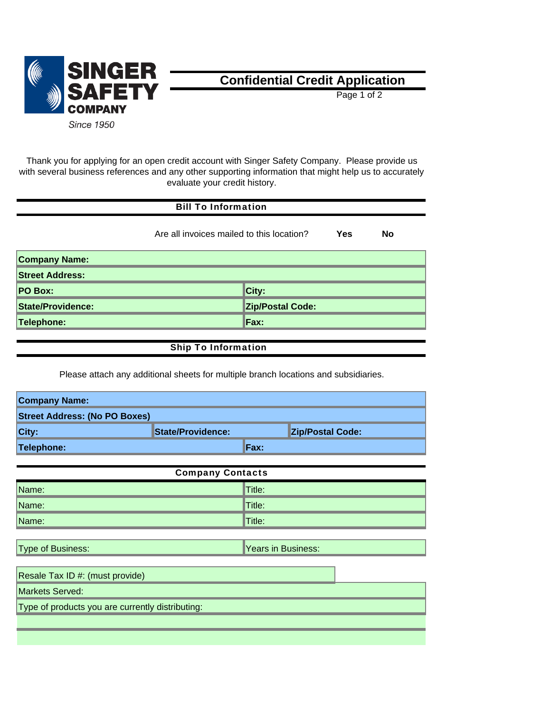

## **Confidential Credit Application**

Page 1 of 2

Thank you for applying for an open credit account with Singer Safety Company. Please provide us with several business references and any other supporting information that might help us to accurately evaluate your credit history.

| <b>Bill To Information</b>                             |  |                         |  |  |
|--------------------------------------------------------|--|-------------------------|--|--|
| Are all invoices mailed to this location?<br>Yes<br>No |  |                         |  |  |
| <b>Company Name:</b>                                   |  |                         |  |  |
| <b>Street Address:</b>                                 |  |                         |  |  |
| <b>PO Box:</b>                                         |  | City:                   |  |  |
| <b>State/Providence:</b>                               |  | <b>Zip/Postal Code:</b> |  |  |
| Telephone:                                             |  | Fax:                    |  |  |
|                                                        |  |                         |  |  |

## Ship To Information

Please attach any additional sheets for multiple branch locations and subsidiaries.

| <b>Company Name:</b>                 |                          |                         |
|--------------------------------------|--------------------------|-------------------------|
| <b>Street Address: (No PO Boxes)</b> |                          |                         |
| City:                                | <b>State/Providence:</b> | <b>Zip/Postal Code:</b> |
| Telephone:                           | Fax:                     |                         |

| <b>Company Contacts</b> |                       |  |  |
|-------------------------|-----------------------|--|--|
| Name:                   | $\blacksquare$ Title: |  |  |
| Name:                   | $\blacksquare$ Title: |  |  |
| Name:                   | $\blacksquare$ Title: |  |  |

Type of Business: Years in Business: Years in Business:

| Resale Tax ID #: (must provide)                  |  |
|--------------------------------------------------|--|
| Markets Served:                                  |  |
| Type of products you are currently distributing: |  |
|                                                  |  |
|                                                  |  |